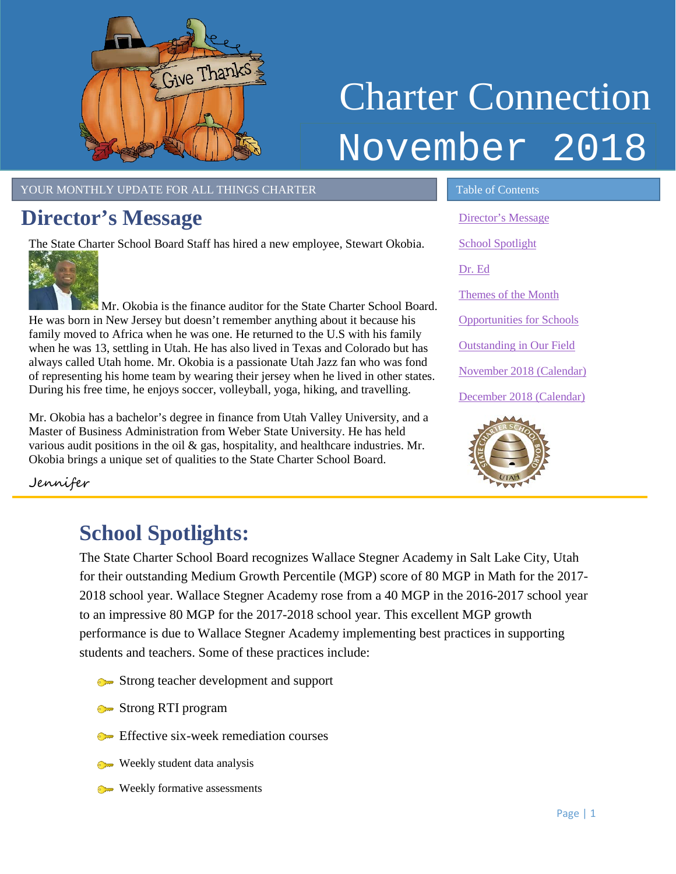

# Charter Connection November 2018

#### YOUR MONTHLY UPDATE FOR ALL THINGS CHARTER TABLE OF Contents

### <span id="page-0-0"></span>**Director's Message**

The State Charter School Board Staff has hired a new employee, Stewart Okobia.



Mr. Okobia is the finance auditor for the State Charter School Board. He was born in New Jersey but doesn't remember anything about it because his family moved to Africa when he was one. He returned to the U.S with his family when he was 13, settling in Utah. He has also lived in Texas and Colorado but has always called Utah home. Mr. Okobia is a passionate Utah Jazz fan who was fond of representing his home team by wearing their jersey when he lived in other states. During his free time, he enjoys soccer, volleyball, yoga, hiking, and travelling.

Mr. Okobia has a bachelor's degree in finance from Utah Valley University, and a Master of Business Administration from Weber State University. He has held various audit positions in the oil  $\&$  gas, hospitality, and healthcare industries. Mr. Okobia brings a unique set of qualities to the State Charter School Board.

[Director's Message](#page-0-0) [School Spotlight](#page-0-1) [Dr. Ed](#page-1-0) [Themes of the Month](#page-1-1) [Opportunities for Schools](#page-2-0)  [Outstanding in Our Field](#page-2-1) November [2018 \(Calendar\)](#page-3-0) December [2018 \(Calendar\)](#page-3-1)



Jennifer

## <span id="page-0-1"></span>**School Spotlights:**

The State Charter School Board recognizes Wallace Stegner Academy in Salt Lake City, Utah for their outstanding Medium Growth Percentile (MGP) score of 80 MGP in Math for the 2017- 2018 school year. Wallace Stegner Academy rose from a 40 MGP in the 2016-2017 school year to an impressive 80 MGP for the 2017-2018 school year. This excellent MGP growth performance is due to Wallace Stegner Academy implementing best practices in supporting students and teachers. Some of these practices include:

- Strong teacher development and support
- Strong RTI program
- **Effective six-week remediation courses**
- Weekly student data analysis
- Weekly formative assessments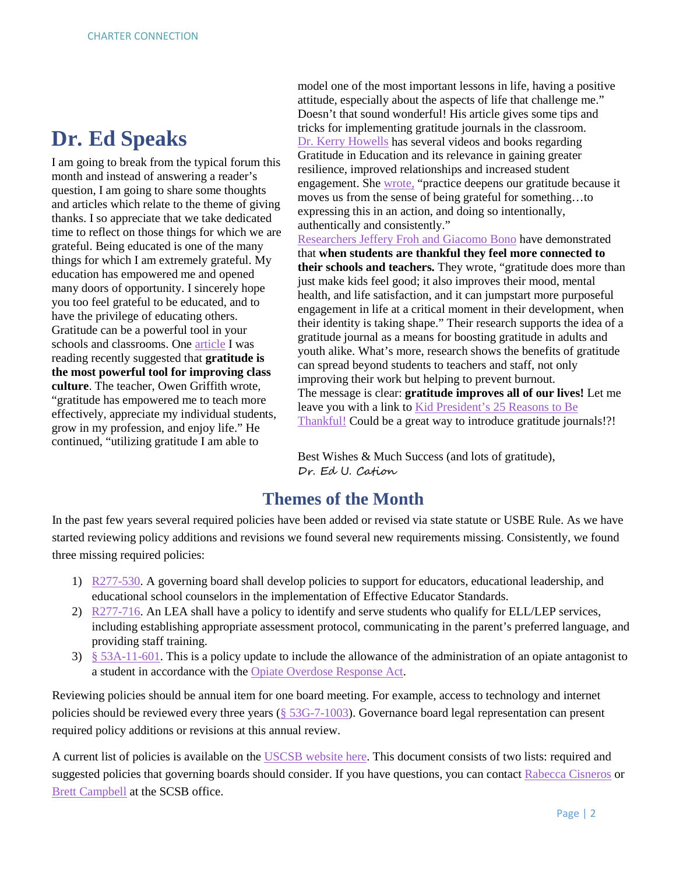## <span id="page-1-0"></span>**Dr. Ed Speaks**

I am going to break from the typical forum this month and instead of answering a reader's question, I am going to share some thoughts and articles which relate to the theme of giving thanks. I so appreciate that we take dedicated time to reflect on those things for which we are grateful. Being educated is one of the many things for which I am extremely grateful. My education has empowered me and opened many doors of opportunity. I sincerely hope you too feel grateful to be educated, and to have the privilege of educating others. Gratitude can be a powerful tool in your schools and classrooms. One [article](https://www.edutopia.org/blog/gratitude-powerful-tool-for-classroom-owen-griffith) I was reading recently suggested that **gratitude is the most powerful tool for improving class culture**. The teacher, Owen Griffith wrote, "gratitude has empowered me to teach more effectively, appreciate my individual students, grow in my profession, and enjoy life." He continued, "utilizing gratitude I am able to

model one of the most important lessons in life, having a positive attitude, especially about the aspects of life that challenge me." Doesn't that sound wonderful! His article gives some tips and tricks for implementing gratitude journals in the classroom. [Dr. Kerry Howells](https://www.youtube.com/watch?v=gzfhPB_NtVc) has several videos and books regarding Gratitude in Education and its relevance in gaining greater resilience, improved relationships and increased student engagement. She [wrote,](https://gratefulness.org/blog/practice-gratitude-in-education/) "practice deepens our gratitude because it moves us from the sense of being grateful for something…to expressing this in an action, and doing so intentionally, authentically and consistently." [Researchers Jeffery Froh and Giacomo Bono](https://greatergood.berkeley.edu/article/item/how_to_foster_gratitude_in_schools) have demonstrated

that **when students are thankful they feel more connected to their schools and teachers.** They wrote, "gratitude does more than just make kids feel good; it also improves their mood, mental health, and life satisfaction, and it can jumpstart more purposeful engagement in life at a critical moment in their development, when their identity is taking shape." Their research supports the idea of a gratitude journal as a means for boosting gratitude in adults and youth alike. What's more, research shows the benefits of gratitude can spread beyond students to teachers and staff, not only improving their work but helping to prevent burnout. The message is clear: **gratitude improves all of our lives!** Let me leave you with a link to [Kid President's 25 Reasons to Be](https://www.youtube.com/watch?v=yA5Qpt1JRE4) [Thankful!](https://www.youtube.com/watch?v=yA5Qpt1JRE4) Could be a great way to introduce gratitude journals!?!

Best Wishes & Much Success (and lots of gratitude), Dr. Ed U. Cation

#### **Themes of the Month**

<span id="page-1-1"></span>In the past few years several required policies have been added or revised via state statute or USBE Rule. As we have started reviewing policy additions and revisions we found several new requirements missing. Consistently, we found three missing required policies:

- 1) [R277-530.](https://rules.utah.gov/publicat/code/r277/r277-530.htm) A governing board shall develop policies to support for educators, educational leadership, and educational school counselors in the implementation of Effective Educator Standards.
- 2) [R277-716.](https://rules.utah.gov/publicat/code/r277/r277-716.htm) An LEA shall have a policy to identify and serve students who qualify for ELL/LEP services, including establishing appropriate assessment protocol, communicating in the parent's preferred language, and providing staff training.
- 3)  $§$  53A-11-601. This is a policy update to include the allowance of the administration of an opiate antagonist to a student in accordance with the [Opiate Overdose Response Act.](https://le.utah.gov/xcode/Title26/Chapter55/C26-55_2016051020160510.pdf)

Reviewing policies should be annual item for one board meeting. For example, access to technology and internet policies should be reviewed every three years [\(§ 53G-7-1003\)](https://le.utah.gov/xcode/Title53G/Chapter7/53G-7-S1003.html). Governance board legal representation can present required policy additions or revisions at this annual review.

A current list of policies is available on the [USCSB website here.](https://www.utahscsb.org/general) This document consists of two lists: required and suggested policies that governing boards should consider. If you have questions, you can contact [Rabecca Cisneros](mailto:Rabecca.Cisneros@schools.utah.gov?subject=Required%20Board%20Policies%20question) or [Brett Campbell](mailto:Brett.Campbell@schools.utah.gove?subject=Required%20Board%20Policies%20question) at the SCSB office.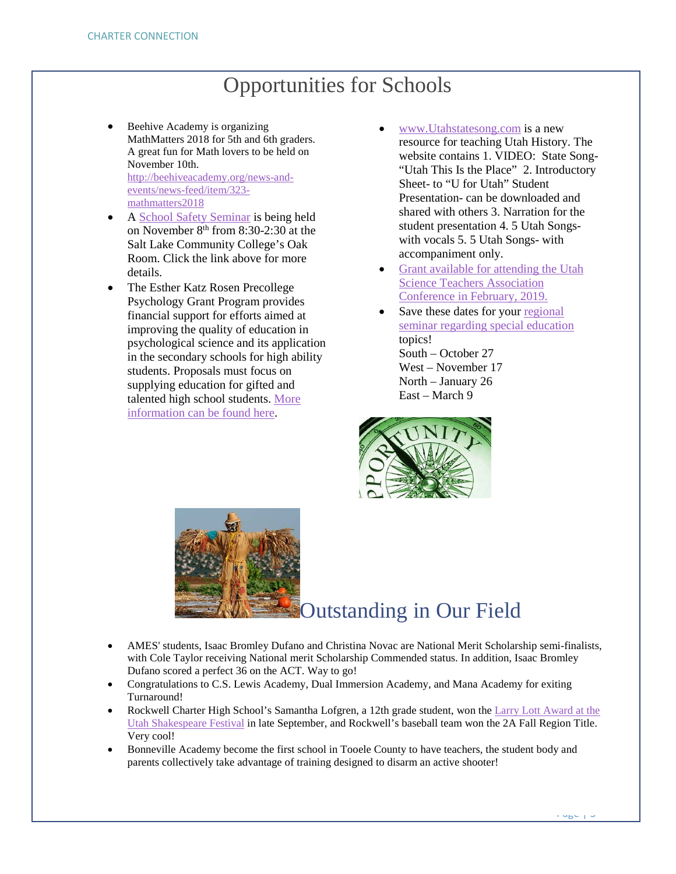## Opportunities for Schools

- <span id="page-2-0"></span>Beehive Academy is organizing MathMatters 2018 for 5th and 6th graders. A great fun for Math lovers to be held on November 10th. [http://beehiveacademy.org/news-and](http://beehiveacademy.org/news-and-events/news-feed/item/323-mathmatters2018)[events/news-feed/item/323](http://beehiveacademy.org/news-and-events/news-feed/item/323-mathmatters2018) [mathmatters2018](http://beehiveacademy.org/news-and-events/news-feed/item/323-mathmatters2018)
- A [School Safety Seminar](https://drive.google.com/file/d/1e7v1r9DO4N8Xfa41LYViplxHVGv2jlT0/view) is being held on November 8<sup>th</sup> from 8:30-2:30 at the Salt Lake Community College's Oak Room. Click the link above for more details.
- The Esther Katz Rosen Precollege Psychology Grant Program provides financial support for efforts aimed at improving the quality of education in psychological science and its application in the secondary schools for high ability students. Proposals must focus on supplying education for gifted and talented high school students. [More](https://drive.google.com/file/d/1WOzmyoTCxJQxOd7VEgnjgMiMN0IbLfhl/view?usp=sharing)  [information can](https://drive.google.com/file/d/1WOzmyoTCxJQxOd7VEgnjgMiMN0IbLfhl/view?usp=sharing) be found here.
- [www.Utahstatesong.com](http://www.utahstatesong.com/) is a new resource for teaching Utah History. The website contains 1. VIDEO: State Song- "Utah This Is the Place" 2. Introductory Sheet- to "U for Utah" Student Presentation- can be downloaded and shared with others 3. Narration for the student presentation 4. 5 Utah Songswith vocals 5. 5 Utah Songs- with accompaniment only.
- [Grant available for attending the Utah](https://drive.google.com/file/d/1S61gyKANln6Nl_5BHwg9VYu5e5FvUmJX/view?usp=sharing)  [Science Teachers Association](https://drive.google.com/file/d/1S61gyKANln6Nl_5BHwg9VYu5e5FvUmJX/view?usp=sharing)  Conference in [February, 2019.](https://drive.google.com/file/d/1S61gyKANln6Nl_5BHwg9VYu5e5FvUmJX/view?usp=sharing)
- Save these dates for your regional [seminar regarding special education](https://drive.google.com/file/d/1JEg657aeIGbM-BDTb7Z427Iprf1shI54/view?usp=sharing) topics! South – October 27 West – November 17 North – January 26 East – March 9



<span id="page-2-1"></span>

## Outstanding in Our Field

- AMES' students, Isaac Bromley Dufano and Christina Novac are National Merit Scholarship semi-finalists, with Cole Taylor receiving National merit Scholarship Commended status. In addition, Isaac Bromley Dufano scored a perfect 36 on the ACT. Way to go!
- Congratulations to C.S. Lewis Academy, Dual Immersion Academy, and Mana Academy for exiting Turnaround!
- Rockwell Charter High School's Samantha Lofgren, a 12th grade student, won the Larry Lott Award at the Utah Shakespeare Festival in late September, and Rockwell's baseball team won the 2A Fall Region Title. Very cool!
- Bonneville Academy become the first school in Tooele County to have teachers, the student body and parents collectively take advantage of training designed to disarm an active shooter!